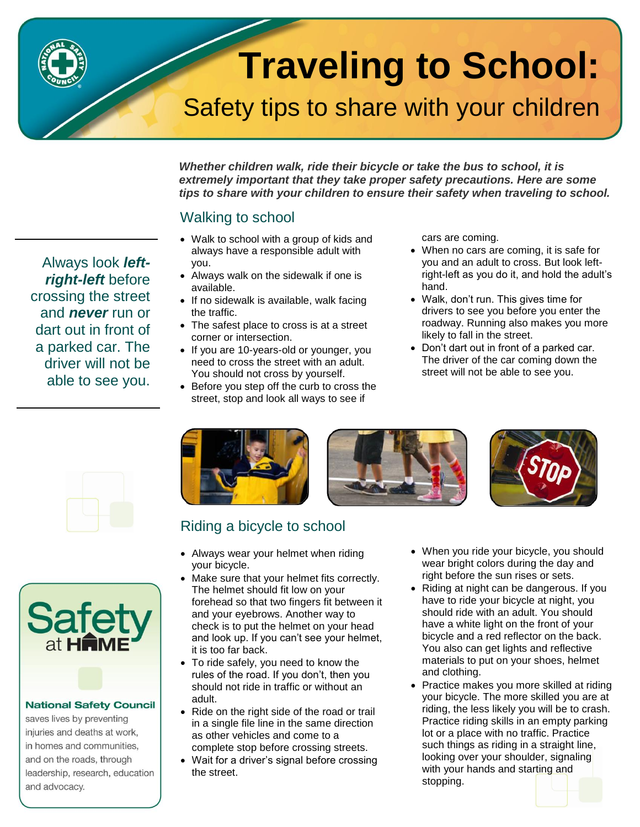# **Traveling to School:**

## Safety tips to share with your children

*Whether children walk, ride their bicycle or take the bus to school, it is extremely important that they take proper safety precautions. Here are some tips to share with your children to ensure their safety when traveling to school.*

### Walking to school

- Walk to school with a group of kids and always have a responsible adult with you.
- Always walk on the sidewalk if one is available.
- If no sidewalk is available, walk facing the traffic.
- The safest place to cross is at a street corner or intersection.
- If you are 10-years-old or younger, you need to cross the street with an adult. You should not cross by yourself.
- Before you step off the curb to cross the street, stop and look all ways to see if

cars are coming.

- When no cars are coming, it is safe for you and an adult to cross. But look leftright-left as you do it, and hold the adult's hand.
- Walk, don't run. This gives time for drivers to see you before you enter the roadway. Running also makes you more likely to fall in the street.
- Don't dart out in front of a parked car. The driver of the car coming down the street will not be able to see you.



Always look *leftright-left* before crossing the street and *never* run or dart out in front of a parked car. The driver will not be able to see you.



#### **National Safety Council**

saves lives by preventing injuries and deaths at work, in homes and communities, and on the roads, through leadership, research, education and advocacy.







## Riding a bicycle to school

- Always wear your helmet when riding your bicycle.
- Make sure that your helmet fits correctly. The helmet should fit low on your forehead so that two fingers fit between it and your eyebrows. Another way to check is to put the helmet on your head and look up. If you can't see your helmet, it is too far back.
- To ride safely, you need to know the rules of the road. If you don't, then you should not ride in traffic or without an adult.
- Ride on the right side of the road or trail in a single file line in the same direction as other vehicles and come to a complete stop before crossing streets.
- Wait for a driver's signal before crossing the street.
- When you ride your bicycle, you should wear bright colors during the day and right before the sun rises or sets.
- Riding at night can be dangerous. If you have to ride your bicycle at night, you should ride with an adult. You should have a white light on the front of your bicycle and a red reflector on the back. You also can get lights and reflective materials to put on your shoes, helmet and clothing.
- Practice makes you more skilled at riding your bicycle. The more skilled you are at riding, the less likely you will be to crash. Practice riding skills in an empty parking lot or a place with no traffic. Practice such things as riding in a straight line, looking over your shoulder, signaling with your hands and starting and stopping.